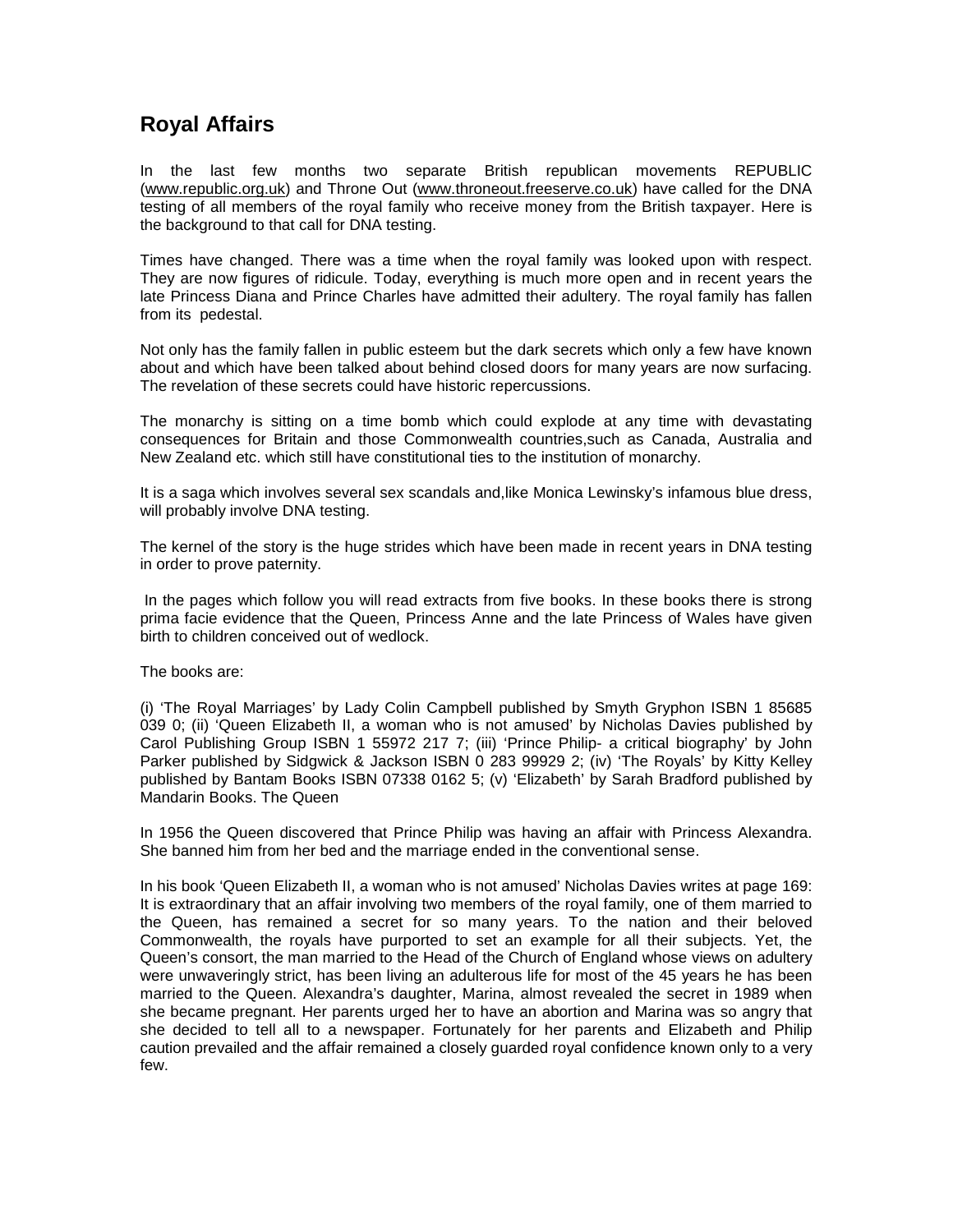# **Royal Affairs**

In the last few months two separate British republican movements REPUBLIC (www.republic.org.uk) and Throne Out (www.throneout.freeserve.co.uk) have called for the DNA testing of all members of the royal family who receive money from the British taxpayer. Here is the background to that call for DNA testing.

Times have changed. There was a time when the royal family was looked upon with respect. They are now figures of ridicule. Today, everything is much more open and in recent years the late Princess Diana and Prince Charles have admitted their adultery. The royal family has fallen from its pedestal.

Not only has the family fallen in public esteem but the dark secrets which only a few have known about and which have been talked about behind closed doors for many years are now surfacing. The revelation of these secrets could have historic repercussions.

The monarchy is sitting on a time bomb which could explode at any time with devastating consequences for Britain and those Commonwealth countries,such as Canada, Australia and New Zealand etc. which still have constitutional ties to the institution of monarchy.

It is a saga which involves several sex scandals and,like Monica Lewinsky's infamous blue dress, will probably involve DNA testing.

The kernel of the story is the huge strides which have been made in recent years in DNA testing in order to prove paternity.

 In the pages which follow you will read extracts from five books. In these books there is strong prima facie evidence that the Queen, Princess Anne and the late Princess of Wales have given birth to children conceived out of wedlock.

The books are:

(i) 'The Royal Marriages' by Lady Colin Campbell published by Smyth Gryphon ISBN 1 85685 039 0; (ii) 'Queen Elizabeth II, a woman who is not amused' by Nicholas Davies published by Carol Publishing Group ISBN 1 55972 217 7; (iii) 'Prince Philip- a critical biography' by John Parker published by Sidgwick & Jackson ISBN 0 283 99929 2; (iv) 'The Royals' by Kitty Kelley published by Bantam Books ISBN 07338 0162 5; (v) 'Elizabeth' by Sarah Bradford published by Mandarin Books. The Queen

In 1956 the Queen discovered that Prince Philip was having an affair with Princess Alexandra. She banned him from her bed and the marriage ended in the conventional sense.

In his book 'Queen Elizabeth II, a woman who is not amused' Nicholas Davies writes at page 169: It is extraordinary that an affair involving two members of the royal family, one of them married to the Queen, has remained a secret for so many years. To the nation and their beloved Commonwealth, the royals have purported to set an example for all their subjects. Yet, the Queen's consort, the man married to the Head of the Church of England whose views on adultery were unwaveringly strict, has been living an adulterous life for most of the 45 years he has been married to the Queen. Alexandra's daughter, Marina, almost revealed the secret in 1989 when she became pregnant. Her parents urged her to have an abortion and Marina was so angry that she decided to tell all to a newspaper. Fortunately for her parents and Elizabeth and Philip caution prevailed and the affair remained a closely guarded royal confidence known only to a very few.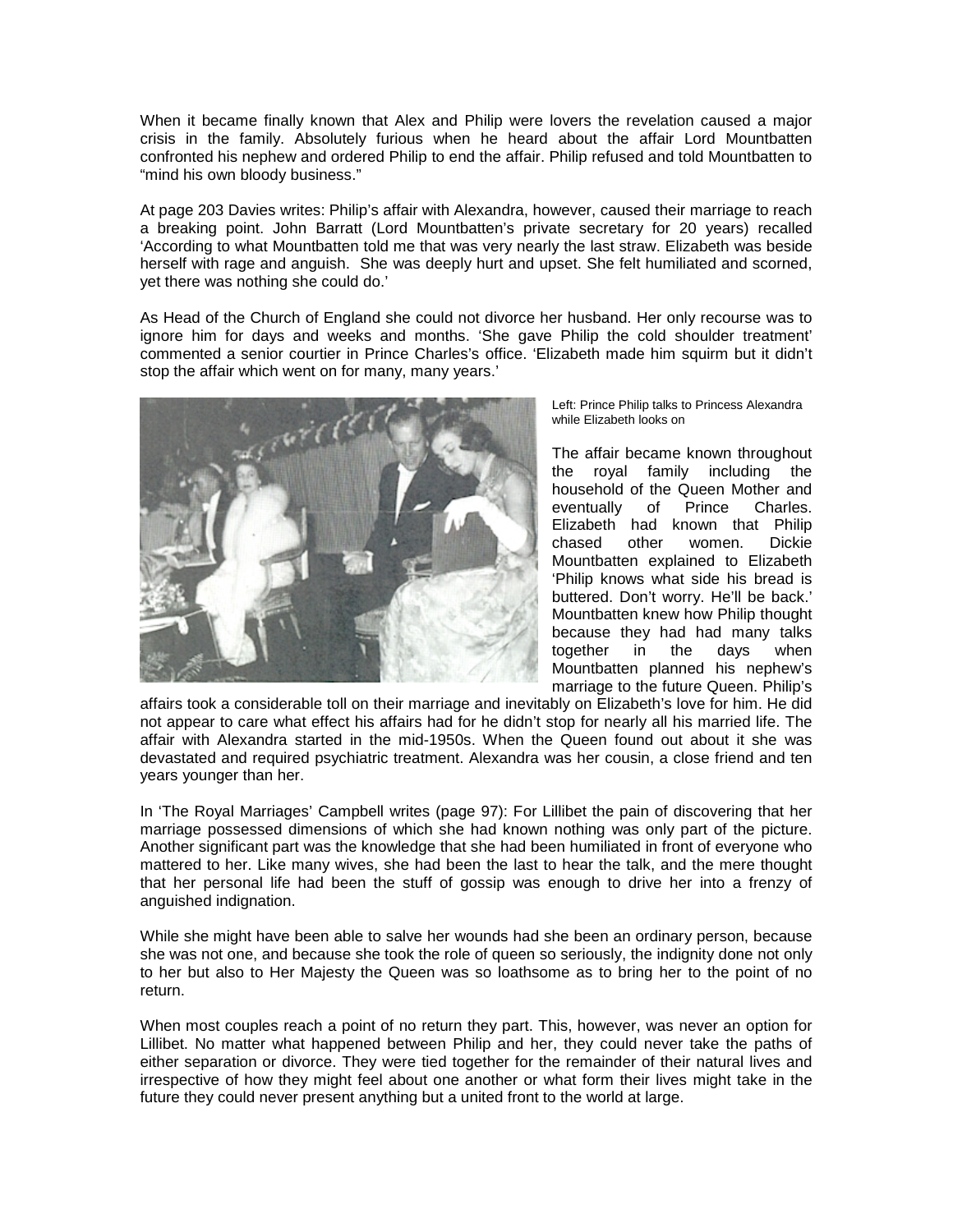When it became finally known that Alex and Philip were lovers the revelation caused a major crisis in the family. Absolutely furious when he heard about the affair Lord Mountbatten confronted his nephew and ordered Philip to end the affair. Philip refused and told Mountbatten to "mind his own bloody business."

At page 203 Davies writes: Philip's affair with Alexandra, however, caused their marriage to reach a breaking point. John Barratt (Lord Mountbatten's private secretary for 20 years) recalled 'According to what Mountbatten told me that was very nearly the last straw. Elizabeth was beside herself with rage and anguish. She was deeply hurt and upset. She felt humiliated and scorned, yet there was nothing she could do.'

As Head of the Church of England she could not divorce her husband. Her only recourse was to ignore him for days and weeks and months. 'She gave Philip the cold shoulder treatment' commented a senior courtier in Prince Charles's office. 'Elizabeth made him squirm but it didn't stop the affair which went on for many, many years.'



Left: Prince Philip talks to Princess Alexandra while Elizabeth looks on

The affair became known throughout the royal family including the household of the Queen Mother and eventually of Prince Charles. Elizabeth had known that Philip chased other women. Dickie Mountbatten explained to Elizabeth 'Philip knows what side his bread is buttered. Don't worry. He'll be back.' Mountbatten knew how Philip thought because they had had many talks together in the days when Mountbatten planned his nephew's marriage to the future Queen. Philip's

affairs took a considerable toll on their marriage and inevitably on Elizabeth's love for him. He did not appear to care what effect his affairs had for he didn't stop for nearly all his married life. The affair with Alexandra started in the mid-1950s. When the Queen found out about it she was devastated and required psychiatric treatment. Alexandra was her cousin, a close friend and ten years younger than her.

In 'The Royal Marriages' Campbell writes (page 97): For Lillibet the pain of discovering that her marriage possessed dimensions of which she had known nothing was only part of the picture. Another significant part was the knowledge that she had been humiliated in front of everyone who mattered to her. Like many wives, she had been the last to hear the talk, and the mere thought that her personal life had been the stuff of gossip was enough to drive her into a frenzy of anguished indignation.

While she might have been able to salve her wounds had she been an ordinary person, because she was not one, and because she took the role of queen so seriously, the indignity done not only to her but also to Her Majesty the Queen was so loathsome as to bring her to the point of no return.

When most couples reach a point of no return they part. This, however, was never an option for Lillibet. No matter what happened between Philip and her, they could never take the paths of either separation or divorce. They were tied together for the remainder of their natural lives and irrespective of how they might feel about one another or what form their lives might take in the future they could never present anything but a united front to the world at large.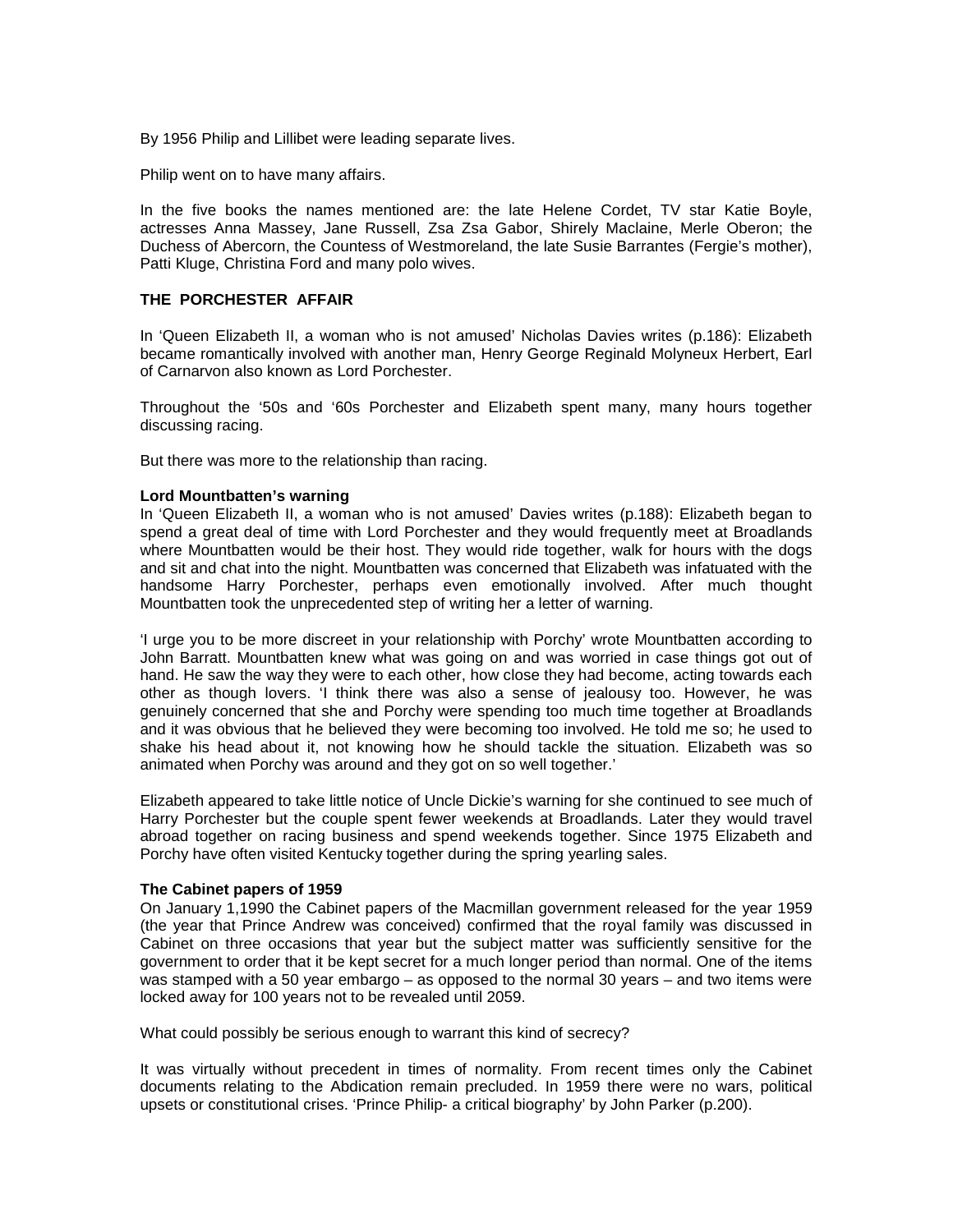By 1956 Philip and Lillibet were leading separate lives.

Philip went on to have many affairs.

In the five books the names mentioned are: the late Helene Cordet, TV star Katie Boyle, actresses Anna Massey, Jane Russell, Zsa Zsa Gabor, Shirely Maclaine, Merle Oberon; the Duchess of Abercorn, the Countess of Westmoreland, the late Susie Barrantes (Fergie's mother), Patti Kluge, Christina Ford and many polo wives.

# **THE PORCHESTER AFFAIR**

In 'Queen Elizabeth II, a woman who is not amused' Nicholas Davies writes (p.186): Elizabeth became romantically involved with another man, Henry George Reginald Molyneux Herbert, Earl of Carnarvon also known as Lord Porchester.

Throughout the '50s and '60s Porchester and Elizabeth spent many, many hours together discussing racing.

But there was more to the relationship than racing.

#### **Lord Mountbatten's warning**

In 'Queen Elizabeth II, a woman who is not amused' Davies writes (p.188): Elizabeth began to spend a great deal of time with Lord Porchester and they would frequently meet at Broadlands where Mountbatten would be their host. They would ride together, walk for hours with the dogs and sit and chat into the night. Mountbatten was concerned that Elizabeth was infatuated with the handsome Harry Porchester, perhaps even emotionally involved. After much thought Mountbatten took the unprecedented step of writing her a letter of warning.

'I urge you to be more discreet in your relationship with Porchy' wrote Mountbatten according to John Barratt. Mountbatten knew what was going on and was worried in case things got out of hand. He saw the way they were to each other, how close they had become, acting towards each other as though lovers. 'I think there was also a sense of jealousy too. However, he was genuinely concerned that she and Porchy were spending too much time together at Broadlands and it was obvious that he believed they were becoming too involved. He told me so; he used to shake his head about it, not knowing how he should tackle the situation. Elizabeth was so animated when Porchy was around and they got on so well together.'

Elizabeth appeared to take little notice of Uncle Dickie's warning for she continued to see much of Harry Porchester but the couple spent fewer weekends at Broadlands. Later they would travel abroad together on racing business and spend weekends together. Since 1975 Elizabeth and Porchy have often visited Kentucky together during the spring yearling sales.

#### **The Cabinet papers of 1959**

On January 1,1990 the Cabinet papers of the Macmillan government released for the year 1959 (the year that Prince Andrew was conceived) confirmed that the royal family was discussed in Cabinet on three occasions that year but the subject matter was sufficiently sensitive for the government to order that it be kept secret for a much longer period than normal. One of the items was stamped with a 50 year embargo – as opposed to the normal 30 years – and two items were locked away for 100 years not to be revealed until 2059.

What could possibly be serious enough to warrant this kind of secrecy?

It was virtually without precedent in times of normality. From recent times only the Cabinet documents relating to the Abdication remain precluded. In 1959 there were no wars, political upsets or constitutional crises. 'Prince Philip- a critical biography' by John Parker (p.200).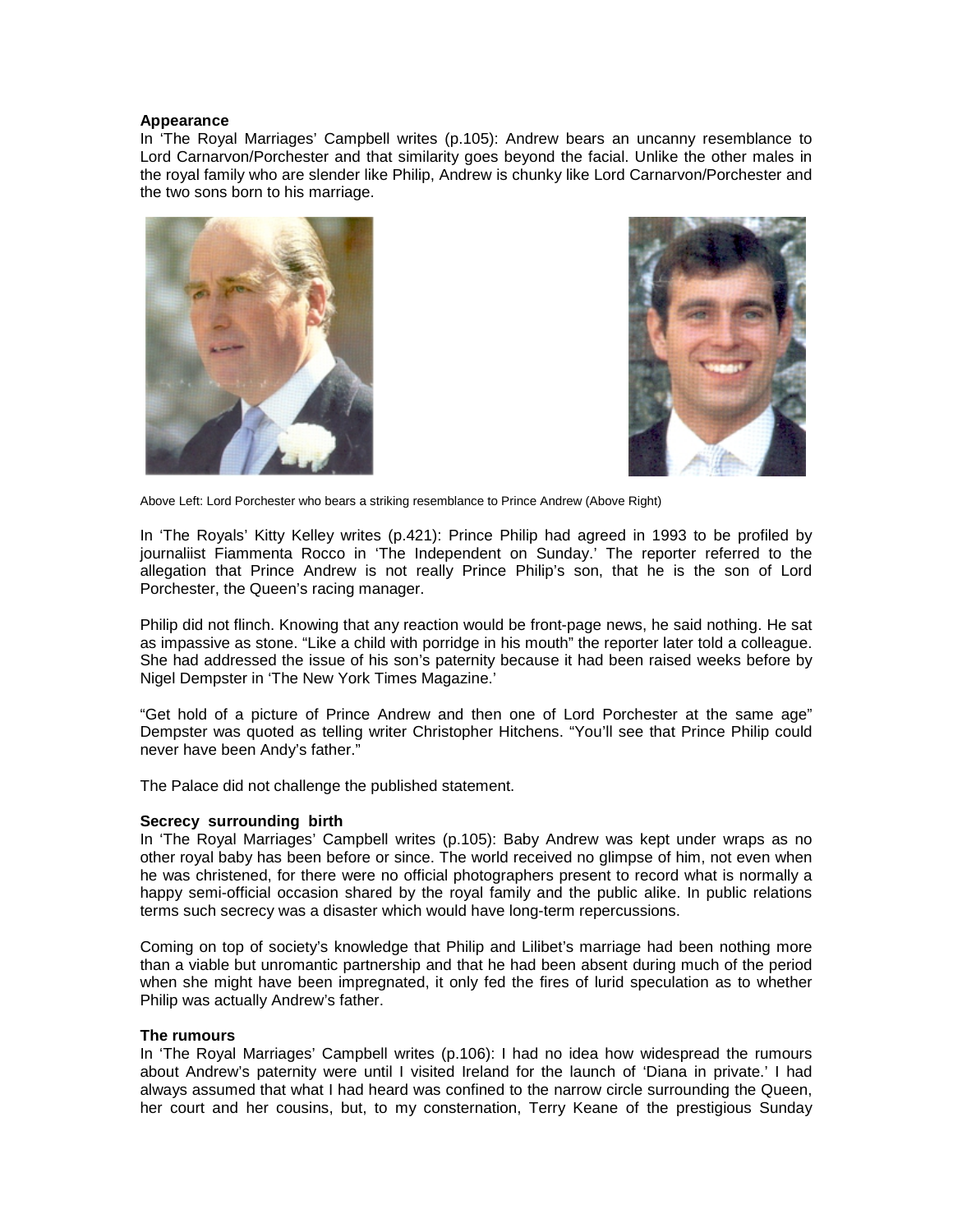#### **Appearance**

In 'The Royal Marriages' Campbell writes (p.105): Andrew bears an uncanny resemblance to Lord Carnarvon/Porchester and that similarity goes beyond the facial. Unlike the other males in the royal family who are slender like Philip, Andrew is chunky like Lord Carnarvon/Porchester and the two sons born to his marriage.





Above Left: Lord Porchester who bears a striking resemblance to Prince Andrew (Above Right)

In 'The Royals' Kitty Kelley writes (p.421): Prince Philip had agreed in 1993 to be profiled by journaliist Fiammenta Rocco in 'The Independent on Sunday.' The reporter referred to the allegation that Prince Andrew is not really Prince Philip's son, that he is the son of Lord Porchester, the Queen's racing manager.

Philip did not flinch. Knowing that any reaction would be front-page news, he said nothing. He sat as impassive as stone. "Like a child with porridge in his mouth" the reporter later told a colleague. She had addressed the issue of his son's paternity because it had been raised weeks before by Nigel Dempster in 'The New York Times Magazine.'

"Get hold of a picture of Prince Andrew and then one of Lord Porchester at the same age" Dempster was quoted as telling writer Christopher Hitchens. "You'll see that Prince Philip could never have been Andy's father."

The Palace did not challenge the published statement.

# **Secrecy surrounding birth**

In 'The Royal Marriages' Campbell writes (p.105): Baby Andrew was kept under wraps as no other royal baby has been before or since. The world received no glimpse of him, not even when he was christened, for there were no official photographers present to record what is normally a happy semi-official occasion shared by the royal family and the public alike. In public relations terms such secrecy was a disaster which would have long-term repercussions.

Coming on top of society's knowledge that Philip and Lilibet's marriage had been nothing more than a viable but unromantic partnership and that he had been absent during much of the period when she might have been impregnated, it only fed the fires of lurid speculation as to whether Philip was actually Andrew's father.

# **The rumours**

In 'The Royal Marriages' Campbell writes (p.106): I had no idea how widespread the rumours about Andrew's paternity were until I visited Ireland for the launch of 'Diana in private.' I had always assumed that what I had heard was confined to the narrow circle surrounding the Queen, her court and her cousins, but, to my consternation, Terry Keane of the prestigious Sunday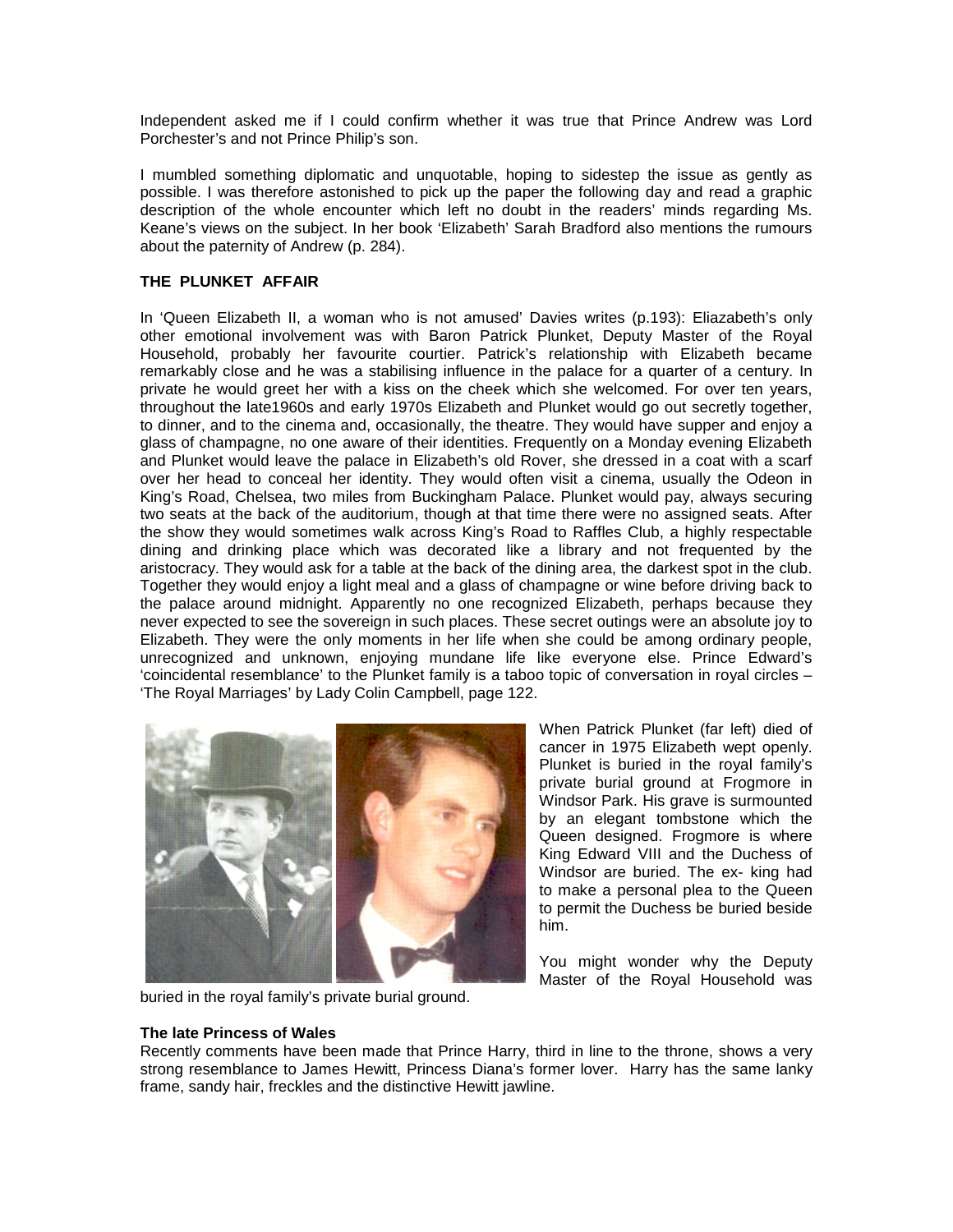Independent asked me if I could confirm whether it was true that Prince Andrew was Lord Porchester's and not Prince Philip's son.

I mumbled something diplomatic and unquotable, hoping to sidestep the issue as gently as possible. I was therefore astonished to pick up the paper the following day and read a graphic description of the whole encounter which left no doubt in the readers' minds regarding Ms. Keane's views on the subject. In her book 'Elizabeth' Sarah Bradford also mentions the rumours about the paternity of Andrew (p. 284).

# **THE PLUNKET AFFAIR**

In 'Queen Elizabeth II, a woman who is not amused' Davies writes (p.193): Eliazabeth's only other emotional involvement was with Baron Patrick Plunket, Deputy Master of the Royal Household, probably her favourite courtier. Patrick's relationship with Elizabeth became remarkably close and he was a stabilising influence in the palace for a quarter of a century. In private he would greet her with a kiss on the cheek which she welcomed. For over ten years, throughout the late1960s and early 1970s Elizabeth and Plunket would go out secretly together, to dinner, and to the cinema and, occasionally, the theatre. They would have supper and enjoy a glass of champagne, no one aware of their identities. Frequently on a Monday evening Elizabeth and Plunket would leave the palace in Elizabeth's old Rover, she dressed in a coat with a scarf over her head to conceal her identity. They would often visit a cinema, usually the Odeon in King's Road, Chelsea, two miles from Buckingham Palace. Plunket would pay, always securing two seats at the back of the auditorium, though at that time there were no assigned seats. After the show they would sometimes walk across King's Road to Raffles Club, a highly respectable dining and drinking place which was decorated like a library and not frequented by the aristocracy. They would ask for a table at the back of the dining area, the darkest spot in the club. Together they would enjoy a light meal and a glass of champagne or wine before driving back to the palace around midnight. Apparently no one recognized Elizabeth, perhaps because they never expected to see the sovereign in such places. These secret outings were an absolute joy to Elizabeth. They were the only moments in her life when she could be among ordinary people, unrecognized and unknown, enjoying mundane life like everyone else. Prince Edward's 'coincidental resemblance' to the Plunket family is a taboo topic of conversation in royal circles – 'The Royal Marriages' by Lady Colin Campbell, page 122.



When Patrick Plunket (far left) died of cancer in 1975 Elizabeth wept openly. Plunket is buried in the royal family's private burial ground at Frogmore in Windsor Park. His grave is surmounted by an elegant tombstone which the Queen designed. Frogmore is where King Edward VIII and the Duchess of Windsor are buried. The ex- king had to make a personal plea to the Queen to permit the Duchess be buried beside him.

You might wonder why the Deputy Master of the Royal Household was

buried in the royal family's private burial ground.

# **The late Princess of Wales**

Recently comments have been made that Prince Harry, third in line to the throne, shows a very strong resemblance to James Hewitt, Princess Diana's former lover. Harry has the same lanky frame, sandy hair, freckles and the distinctive Hewitt jawline.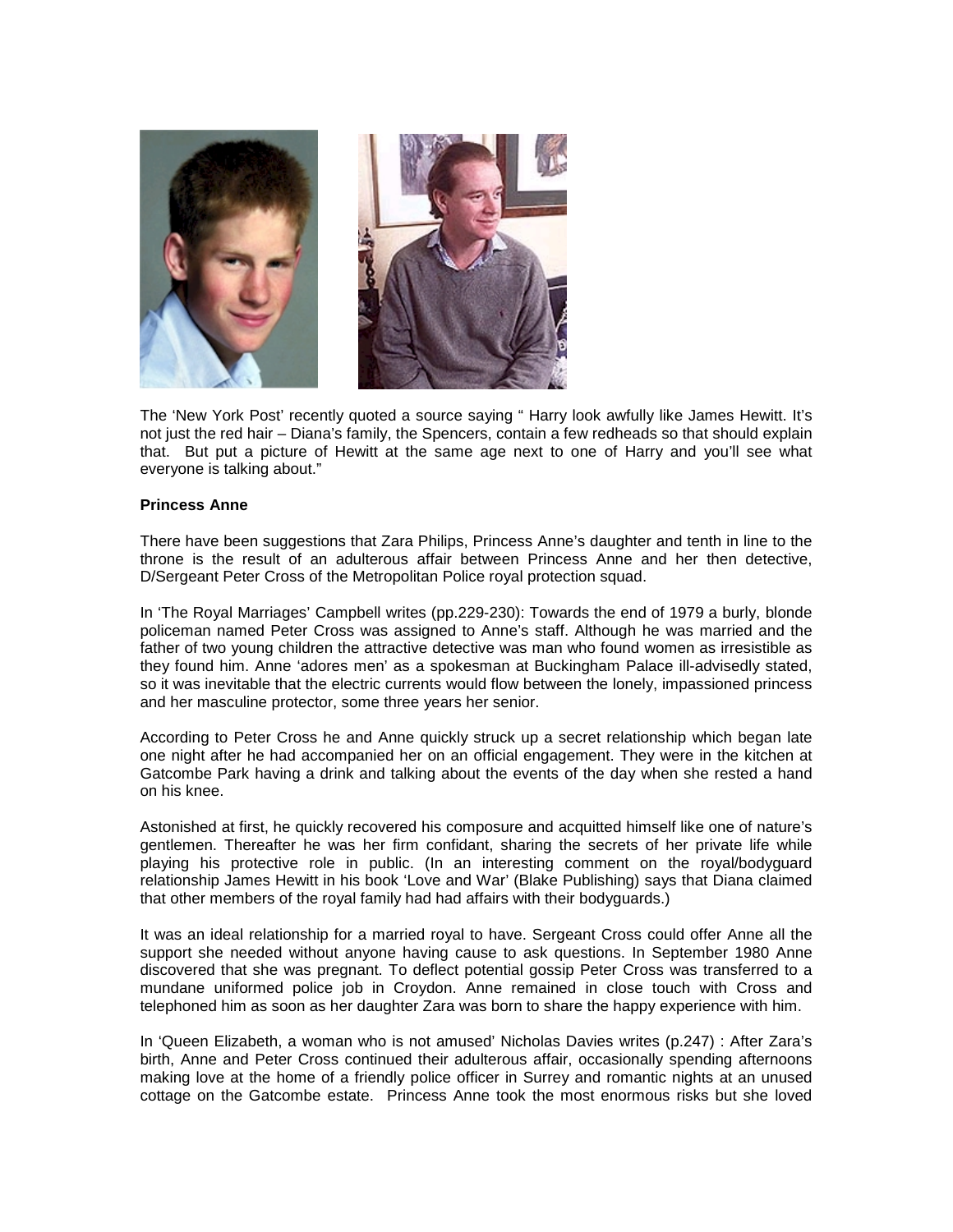

The 'New York Post' recently quoted a source saying " Harry look awfully like James Hewitt. It's not just the red hair – Diana's family, the Spencers, contain a few redheads so that should explain that. But put a picture of Hewitt at the same age next to one of Harry and you'll see what everyone is talking about."

#### **Princess Anne**

There have been suggestions that Zara Philips, Princess Anne's daughter and tenth in line to the throne is the result of an adulterous affair between Princess Anne and her then detective, D/Sergeant Peter Cross of the Metropolitan Police royal protection squad.

In 'The Royal Marriages' Campbell writes (pp.229-230): Towards the end of 1979 a burly, blonde policeman named Peter Cross was assigned to Anne's staff. Although he was married and the father of two young children the attractive detective was man who found women as irresistible as they found him. Anne 'adores men' as a spokesman at Buckingham Palace ill-advisedly stated, so it was inevitable that the electric currents would flow between the lonely, impassioned princess and her masculine protector, some three years her senior.

According to Peter Cross he and Anne quickly struck up a secret relationship which began late one night after he had accompanied her on an official engagement. They were in the kitchen at Gatcombe Park having a drink and talking about the events of the day when she rested a hand on his knee.

Astonished at first, he quickly recovered his composure and acquitted himself like one of nature's gentlemen. Thereafter he was her firm confidant, sharing the secrets of her private life while playing his protective role in public. (In an interesting comment on the royal/bodyguard relationship James Hewitt in his book 'Love and War' (Blake Publishing) says that Diana claimed that other members of the royal family had had affairs with their bodyguards.)

It was an ideal relationship for a married royal to have. Sergeant Cross could offer Anne all the support she needed without anyone having cause to ask questions. In September 1980 Anne discovered that she was pregnant. To deflect potential gossip Peter Cross was transferred to a mundane uniformed police job in Croydon. Anne remained in close touch with Cross and telephoned him as soon as her daughter Zara was born to share the happy experience with him.

In 'Queen Elizabeth, a woman who is not amused' Nicholas Davies writes (p.247) : After Zara's birth, Anne and Peter Cross continued their adulterous affair, occasionally spending afternoons making love at the home of a friendly police officer in Surrey and romantic nights at an unused cottage on the Gatcombe estate. Princess Anne took the most enormous risks but she loved